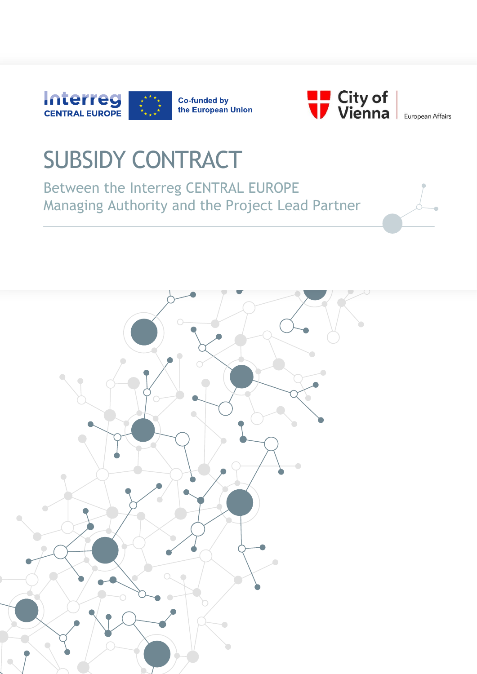



European Affairs

# SUBSIDY CONTRACT

Between the Interreg CENTRAL EUROPE Managing Authority and the Project Lead Partner

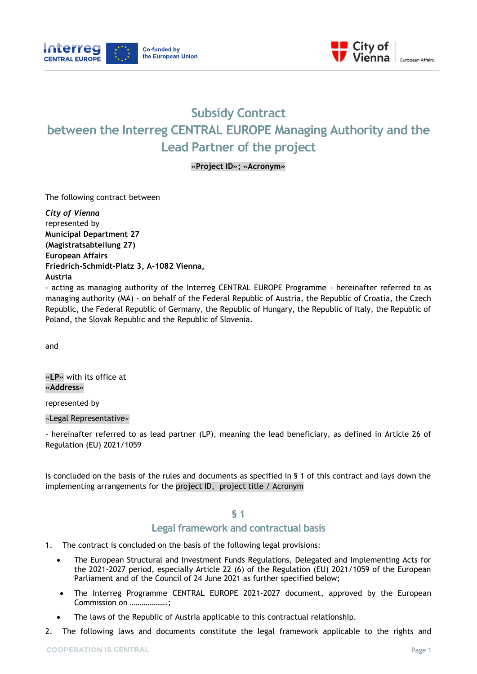



# **Subsidy Contract between the Interreg CENTRAL EUROPE Managing Authority and the Lead Partner of the project**

#### **«Project ID»; «Acronym»**

The following contract between

*City of Vienna*  represented by **Municipal Department 27 (Magistratsabteilung 27) European Affairs Friedrich-Schmidt-Platz 3, A-1082 Vienna, Austria**

- acting as managing authority of the Interreg CENTRAL EUROPE Programme - hereinafter referred to as managing authority (MA) - on behalf of the Federal Republic of Austria, the Republic of Croatia, the Czech Republic, the Federal Republic of Germany, the Republic of Hungary, the Republic of Italy, the Republic of Poland, the Slovak Republic and the Republic of Slovenia.

and

**«LP»** with its office at **«Address»**

represented by

«Legal Representative»

- hereinafter referred to as lead partner (LP), meaning the lead beneficiary, as defined in Article 26 of Regulation (EU) 2021/1059

is concluded on the basis of the rules and documents as specified in § 1 of this contract and lays down the implementing arrangements for the project ID, project title / Acronym

#### **§ 1**

# **Legal framework and contractual basis**

- 1. The contract is concluded on the basis of the following legal provisions:
	- The European Structural and Investment Funds Regulations, Delegated and Implementing Acts for the 2021-2027 period, especially Article 22 (6) of the Regulation (EU) 2021/1059 of the European Parliament and of the Council of 24 June 2021 as further specified below;
	- The Interreg Programme CENTRAL EUROPE 2021-2027 document, approved by the European Commission on ……………….;
	- The laws of the Republic of Austria applicable to this contractual relationship.
- 2. The following laws and documents constitute the legal framework applicable to the rights and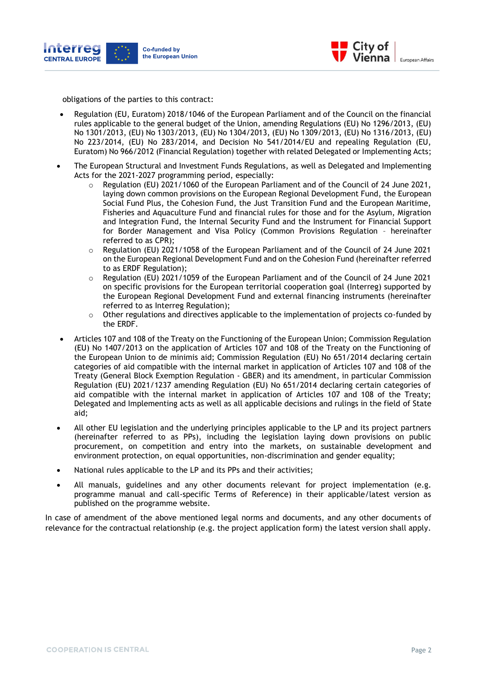



obligations of the parties to this contract:

- Regulation (EU, Euratom) 2018/1046 of the European Parliament and of the Council on the financial rules applicable to the general budget of the Union, amending Regulations (EU) No 1296/2013, (EU) No 1301/2013, (EU) No 1303/2013, (EU) No 1304/2013, (EU) No 1309/2013, (EU) No 1316/2013, (EU) No 223/2014, (EU) No 283/2014, and Decision No 541/2014/EU and repealing Regulation (EU, Euratom) No 966/2012 (Financial Regulation) together with related Delegated or Implementing Acts;
- The European Structural and Investment Funds Regulations, as well as Delegated and Implementing Acts for the 2021-2027 programming period, especially:
	- $\circ$  Regulation (EU) 2021/1060 of the European Parliament and of the Council of 24 June 2021, laying down common provisions on the European Regional Development Fund, the European Social Fund Plus, the Cohesion Fund, the Just Transition Fund and the European Maritime, Fisheries and Aquaculture Fund and financial rules for those and for the Asylum, Migration and Integration Fund, the Internal Security Fund and the Instrument for Financial Support for Border Management and Visa Policy (Common Provisions Regulation – hereinafter referred to as CPR);
	- o Regulation (EU) 2021/1058 of the European Parliament and of the Council of 24 June 2021 on the European Regional Development Fund and on the Cohesion Fund (hereinafter referred to as ERDF Regulation);
	- $\circ$  Regulation (EU) 2021/1059 of the European Parliament and of the Council of 24 June 2021 on specific provisions for the European territorial cooperation goal (Interreg) supported by the European Regional Development Fund and external financing instruments (hereinafter referred to as Interreg Regulation);
	- $\circ$  Other regulations and directives applicable to the implementation of projects co-funded by the ERDF.
- Articles 107 and 108 of the Treaty on the Functioning of the European Union; Commission Regulation (EU) No 1407/2013 on the application of Articles 107 and 108 of the Treaty on the Functioning of the European Union to de minimis aid; Commission Regulation (EU) No 651/2014 declaring certain categories of aid compatible with the internal market in application of Articles 107 and 108 of the Treaty (General Block Exemption Regulation - GBER) and its amendment, in particular Commission Regulation (EU) 2021/1237 amending Regulation (EU) No 651/2014 declaring certain categories of aid compatible with the internal market in application of Articles 107 and 108 of the Treaty; Delegated and Implementing acts as well as all applicable decisions and rulings in the field of State aid;
- All other EU legislation and the underlying principles applicable to the LP and its project partners (hereinafter referred to as PPs), including the legislation laying down provisions on public procurement, on competition and entry into the markets, on sustainable development and environment protection, on equal opportunities, non-discrimination and gender equality;
- National rules applicable to the LP and its PPs and their activities;
- All manuals, guidelines and any other documents relevant for project implementation (e.g. programme manual and call-specific Terms of Reference) in their applicable/latest version as published on the programme website.

In case of amendment of the above mentioned legal norms and documents, and any other documents of relevance for the contractual relationship (e.g. the project application form) the latest version shall apply.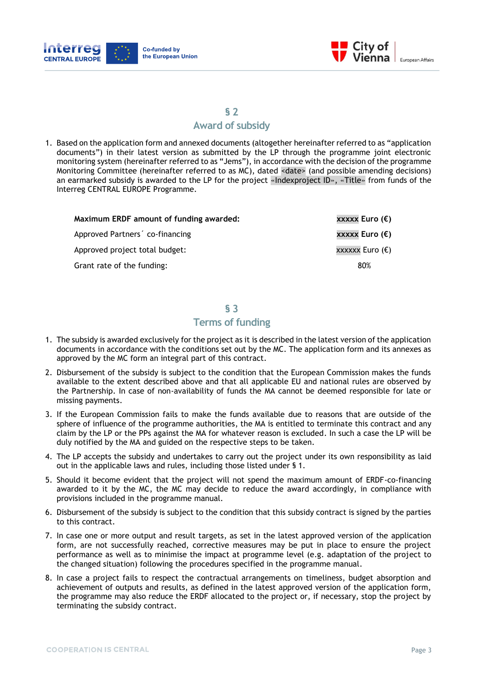



# **Award of subsidy**

1. Based on the application form and annexed documents (altogether hereinafter referred to as "application documents") in their latest version as submitted by the LP through the programme joint electronic monitoring system (hereinafter referred to as "Jems"), in accordance with the decision of the programme Monitoring Committee (hereinafter referred to as MC), dated <date> (and possible amending decisions) an earmarked subsidy is awarded to the LP for the project «Indexproject ID», «Title» from funds of the Interreg CENTRAL EUROPE Programme.

| Maximum ERDF amount of funding awarded: | xxxxx Euro (€)  |
|-----------------------------------------|-----------------|
| Approved Partners' co-financing         | xxxxx Euro (€)  |
| Approved project total budget:          | xxxxxx Euro (€) |
| Grant rate of the funding:              | 80%             |
|                                         |                 |

# **§ 3**

# **Terms of funding**

- 1. The subsidy is awarded exclusively for the project as it is described in the latest version of the application documents in accordance with the conditions set out by the MC. The application form and its annexes as approved by the MC form an integral part of this contract.
- 2. Disbursement of the subsidy is subject to the condition that the European Commission makes the funds available to the extent described above and that all applicable EU and national rules are observed by the Partnership. In case of non-availability of funds the MA cannot be deemed responsible for late or missing payments.
- 3. If the European Commission fails to make the funds available due to reasons that are outside of the sphere of influence of the programme authorities, the MA is entitled to terminate this contract and any claim by the LP or the PPs against the MA for whatever reason is excluded. In such a case the LP will be duly notified by the MA and guided on the respective steps to be taken.
- 4. The LP accepts the subsidy and undertakes to carry out the project under its own responsibility as laid out in the applicable laws and rules, including those listed under § 1.
- 5. Should it become evident that the project will not spend the maximum amount of ERDF-co-financing awarded to it by the MC, the MC may decide to reduce the award accordingly, in compliance with provisions included in the programme manual.
- 6. Disbursement of the subsidy is subject to the condition that this subsidy contract is signed by the parties to this contract.
- 7. In case one or more output and result targets, as set in the latest approved version of the application form, are not successfully reached, corrective measures may be put in place to ensure the project performance as well as to minimise the impact at programme level (e.g. adaptation of the project to the changed situation) following the procedures specified in the programme manual.
- 8. In case a project fails to respect the contractual arrangements on timeliness, budget absorption and achievement of outputs and results, as defined in the latest approved version of the application form, the programme may also reduce the ERDF allocated to the project or, if necessary, stop the project by terminating the subsidy contract.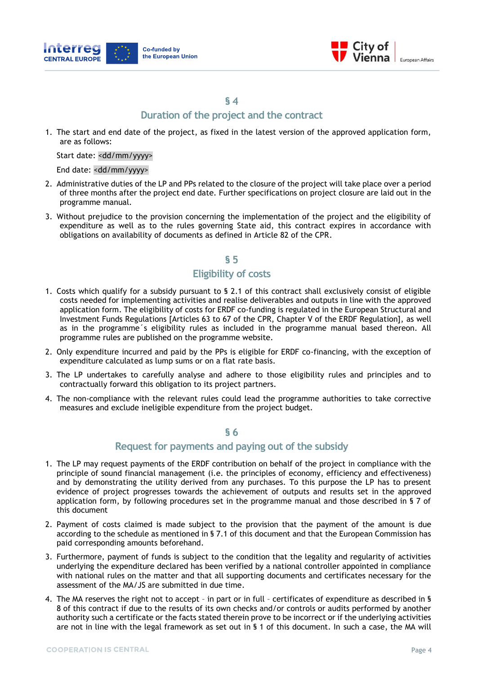



# **Duration of the project and the contract**

1. The start and end date of the project, as fixed in the latest version of the approved application form, are as follows:

Start date: <dd/mm/yyyy>

End date: <dd/mm/yyyy>

- 2. Administrative duties of the LP and PPs related to the closure of the project will take place over a period of three months after the project end date. Further specifications on project closure are laid out in the programme manual.
- 3. Without prejudice to the provision concerning the implementation of the project and the eligibility of expenditure as well as to the rules governing State aid, this contract expires in accordance with obligations on availability of documents as defined in Article 82 of the CPR.

#### **§ 5**

# **Eligibility of costs**

- 1. Costs which qualify for a subsidy pursuant to § 2.1 of this contract shall exclusively consist of eligible costs needed for implementing activities and realise deliverables and outputs in line with the approved application form. The eligibility of costs for ERDF co-funding is regulated in the European Structural and Investment Funds Regulations [Articles 63 to 67 of the CPR, Chapter V of the ERDF Regulation], as well as in the programme´s eligibility rules as included in the programme manual based thereon. All programme rules are published on the programme website.
- 2. Only expenditure incurred and paid by the PPs is eligible for ERDF co-financing, with the exception of expenditure calculated as lump sums or on a flat rate basis.
- 3. The LP undertakes to carefully analyse and adhere to those eligibility rules and principles and to contractually forward this obligation to its project partners.
- 4. The non-compliance with the relevant rules could lead the programme authorities to take corrective measures and exclude ineligible expenditure from the project budget.

## **§ 6**

#### **Request for payments and paying out of the subsidy**

- 1. The LP may request payments of the ERDF contribution on behalf of the project in compliance with the principle of sound financial management (i.e. the principles of economy, efficiency and effectiveness) and by demonstrating the utility derived from any purchases. To this purpose the LP has to present evidence of project progresses towards the achievement of outputs and results set in the approved application form, by following procedures set in the programme manual and those described in § 7 of this document
- 2. Payment of costs claimed is made subject to the provision that the payment of the amount is due according to the schedule as mentioned in § 7.1 of this document and that the European Commission has paid corresponding amounts beforehand.
- 3. Furthermore, payment of funds is subject to the condition that the legality and regularity of activities underlying the expenditure declared has been verified by a national controller appointed in compliance with national rules on the matter and that all supporting documents and certificates necessary for the assessment of the MA/JS are submitted in due time.
- 4. The MA reserves the right not to accept in part or in full certificates of expenditure as described in § 8 of this contract if due to the results of its own checks and/or controls or audits performed by another authority such a certificate or the facts stated therein prove to be incorrect or if the underlying activities are not in line with the legal framework as set out in § 1 of this document. In such a case, the MA will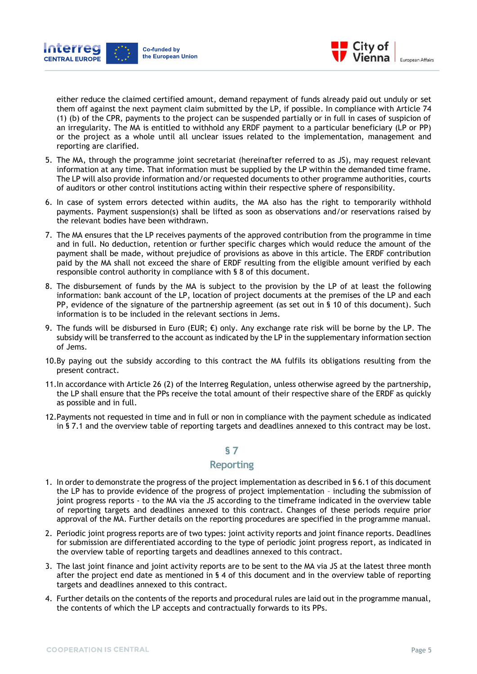



either reduce the claimed certified amount, demand repayment of funds already paid out unduly or set them off against the next payment claim submitted by the LP, if possible. In compliance with Article 74 (1) (b) of the CPR, payments to the project can be suspended partially or in full in cases of suspicion of an irregularity. The MA is entitled to withhold any ERDF payment to a particular beneficiary (LP or PP) or the project as a whole until all unclear issues related to the implementation, management and reporting are clarified.

- 5. The MA, through the programme joint secretariat (hereinafter referred to as JS), may request relevant information at any time. That information must be supplied by the LP within the demanded time frame. The LP will also provide information and/or requested documents to other programme authorities, courts of auditors or other control institutions acting within their respective sphere of responsibility.
- 6. In case of system errors detected within audits, the MA also has the right to temporarily withhold payments. Payment suspension(s) shall be lifted as soon as observations and/or reservations raised by the relevant bodies have been withdrawn.
- 7. The MA ensures that the LP receives payments of the approved contribution from the programme in time and in full. No deduction, retention or further specific charges which would reduce the amount of the payment shall be made, without prejudice of provisions as above in this article. The ERDF contribution paid by the MA shall not exceed the share of ERDF resulting from the eligible amount verified by each responsible control authority in compliance with § 8 of this document.
- 8. The disbursement of funds by the MA is subject to the provision by the LP of at least the following information: bank account of the LP, location of project documents at the premises of the LP and each PP, evidence of the signature of the partnership agreement (as set out in § 10 of this document). Such information is to be included in the relevant sections in Jems.
- 9. The funds will be disbursed in Euro (EUR;  $\epsilon$ ) only. Any exchange rate risk will be borne by the LP. The subsidy will be transferred to the account as indicated by the LP in the supplementary information section of Jems.
- 10.By paying out the subsidy according to this contract the MA fulfils its obligations resulting from the present contract.
- 11.In accordance with Article 26 (2) of the Interreg Regulation, unless otherwise agreed by the partnership, the LP shall ensure that the PPs receive the total amount of their respective share of the ERDF as quickly as possible and in full.
- 12.Payments not requested in time and in full or non in compliance with the payment schedule as indicated in § 7.1 and the overview table of reporting targets and deadlines annexed to this contract may be lost.

#### **§ 7**

#### **Reporting**

- 1. In order to demonstrate the progress of the project implementation as described in § 6.1 of this document the LP has to provide evidence of the progress of project implementation – including the submission of joint progress reports - to the MA via the JS according to the timeframe indicated in the overview table of reporting targets and deadlines annexed to this contract. Changes of these periods require prior approval of the MA. Further details on the reporting procedures are specified in the programme manual.
- 2. Periodic joint progress reports are of two types: joint activity reports and joint finance reports. Deadlines for submission are differentiated according to the type of periodic joint progress report, as indicated in the overview table of reporting targets and deadlines annexed to this contract.
- 3. The last joint finance and joint activity reports are to be sent to the MA via JS at the latest three month after the project end date as mentioned in § 4 of this document and in the overview table of reporting targets and deadlines annexed to this contract.
- 4. Further details on the contents of the reports and procedural rules are laid out in the programme manual, the contents of which the LP accepts and contractually forwards to its PPs.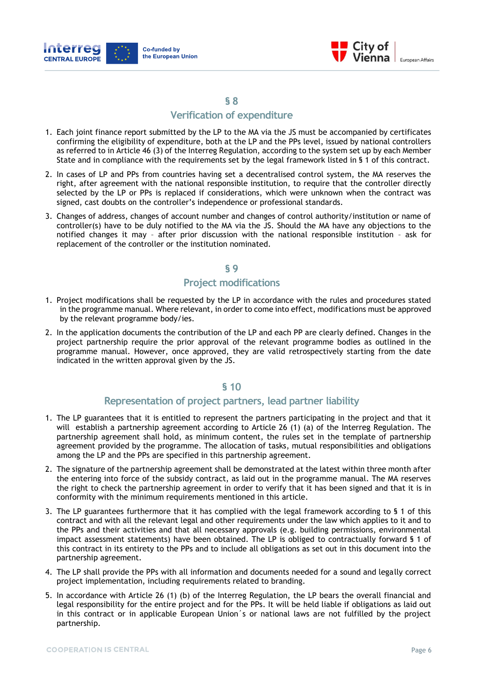



## **Verification of expenditure**

- 1. Each joint finance report submitted by the LP to the MA via the JS must be accompanied by certificates confirming the eligibility of expenditure, both at the LP and the PPs level, issued by national controllers as referred to in Article 46 (3) of the Interreg Regulation, according to the system set up by each Member State and in compliance with the requirements set by the legal framework listed in § 1 of this contract.
- 2. In cases of LP and PPs from countries having set a decentralised control system, the MA reserves the right, after agreement with the national responsible institution, to require that the controller directly selected by the LP or PPs is replaced if considerations, which were unknown when the contract was signed, cast doubts on the controller's independence or professional standards.
- 3. Changes of address, changes of account number and changes of control authority/institution or name of controller(s) have to be duly notified to the MA via the JS. Should the MA have any objections to the notified changes it may – after prior discussion with the national responsible institution – ask for replacement of the controller or the institution nominated.

#### **§ 9**

# **Project modifications**

- 1. Project modifications shall be requested by the LP in accordance with the rules and procedures stated in the programme manual. Where relevant, in order to come into effect, modifications must be approved by the relevant programme body/ies.
- 2. In the application documents the contribution of the LP and each PP are clearly defined. Changes in the project partnership require the prior approval of the relevant programme bodies as outlined in the programme manual. However, once approved, they are valid retrospectively starting from the date indicated in the written approval given by the JS.

#### **§ 10**

#### **Representation of project partners, lead partner liability**

- 1. The LP guarantees that it is entitled to represent the partners participating in the project and that it will establish a partnership agreement according to Article 26 (1) (a) of the Interreg Regulation. The partnership agreement shall hold, as minimum content, the rules set in the template of partnership agreement provided by the programme. The allocation of tasks, mutual responsibilities and obligations among the LP and the PPs are specified in this partnership agreement.
- 2. The signature of the partnership agreement shall be demonstrated at the latest within three month after the entering into force of the subsidy contract, as laid out in the programme manual. The MA reserves the right to check the partnership agreement in order to verify that it has been signed and that it is in conformity with the minimum requirements mentioned in this article.
- 3. The LP guarantees furthermore that it has complied with the legal framework according to § 1 of this contract and with all the relevant legal and other requirements under the law which applies to it and to the PPs and their activities and that all necessary approvals (e.g. building permissions, environmental impact assessment statements) have been obtained. The LP is obliged to contractually forward § 1 of this contract in its entirety to the PPs and to include all obligations as set out in this document into the partnership agreement.
- 4. The LP shall provide the PPs with all information and documents needed for a sound and legally correct project implementation, including requirements related to branding.
- 5. In accordance with Article 26 (1) (b) of the Interreg Regulation, the LP bears the overall financial and legal responsibility for the entire project and for the PPs. It will be held liable if obligations as laid out in this contract or in applicable European Union´s or national laws are not fulfilled by the project partnership.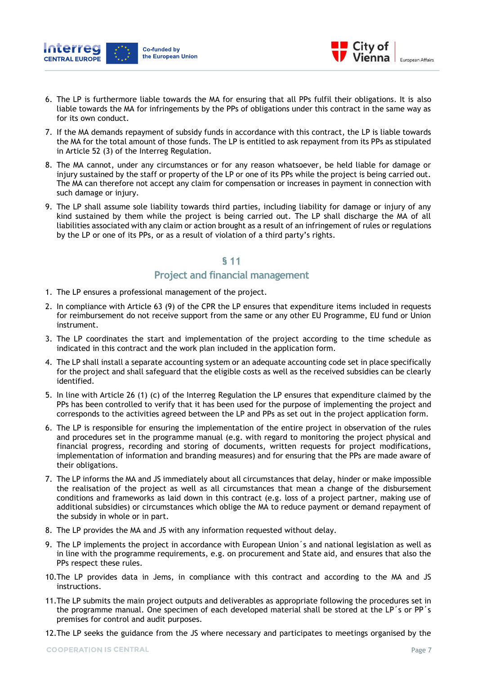



- 6. The LP is furthermore liable towards the MA for ensuring that all PPs fulfil their obligations. It is also liable towards the MA for infringements by the PPs of obligations under this contract in the same way as for its own conduct.
- 7. If the MA demands repayment of subsidy funds in accordance with this contract, the LP is liable towards the MA for the total amount of those funds. The LP is entitled to ask repayment from its PPs as stipulated in Article 52 (3) of the Interreg Regulation.
- 8. The MA cannot, under any circumstances or for any reason whatsoever, be held liable for damage or injury sustained by the staff or property of the LP or one of its PPs while the project is being carried out. The MA can therefore not accept any claim for compensation or increases in payment in connection with such damage or injury.
- 9. The LP shall assume sole liability towards third parties, including liability for damage or injury of any kind sustained by them while the project is being carried out. The LP shall discharge the MA of all liabilities associated with any claim or action brought as a result of an infringement of rules or regulations by the LP or one of its PPs, or as a result of violation of a third party's rights.

#### **Project and financial management**

- 1. The LP ensures a professional management of the project.
- 2. In compliance with Article 63 (9) of the CPR the LP ensures that expenditure items included in requests for reimbursement do not receive support from the same or any other EU Programme, EU fund or Union instrument.
- 3. The LP coordinates the start and implementation of the project according to the time schedule as indicated in this contract and the work plan included in the application form.
- 4. The LP shall install a separate accounting system or an adequate accounting code set in place specifically for the project and shall safeguard that the eligible costs as well as the received subsidies can be clearly identified.
- 5. In line with Article 26 (1) (c) of the Interreg Regulation the LP ensures that expenditure claimed by the PPs has been controlled to verify that it has been used for the purpose of implementing the project and corresponds to the activities agreed between the LP and PPs as set out in the project application form.
- 6. The LP is responsible for ensuring the implementation of the entire project in observation of the rules and procedures set in the programme manual (e.g. with regard to monitoring the project physical and financial progress, recording and storing of documents, written requests for project modifications, implementation of information and branding measures) and for ensuring that the PPs are made aware of their obligations.
- 7. The LP informs the MA and JS immediately about all circumstances that delay, hinder or make impossible the realisation of the project as well as all circumstances that mean a change of the disbursement conditions and frameworks as laid down in this contract (e.g. loss of a project partner, making use of additional subsidies) or circumstances which oblige the MA to reduce payment or demand repayment of the subsidy in whole or in part.
- 8. The LP provides the MA and JS with any information requested without delay.
- 9. The LP implements the project in accordance with European Union´s and national legislation as well as in line with the programme requirements, e.g. on procurement and State aid, and ensures that also the PPs respect these rules.
- 10.The LP provides data in Jems, in compliance with this contract and according to the MA and JS instructions.
- 11.The LP submits the main project outputs and deliverables as appropriate following the procedures set in the programme manual. One specimen of each developed material shall be stored at the LP´s or PP´s premises for control and audit purposes.
- 12.The LP seeks the guidance from the JS where necessary and participates to meetings organised by the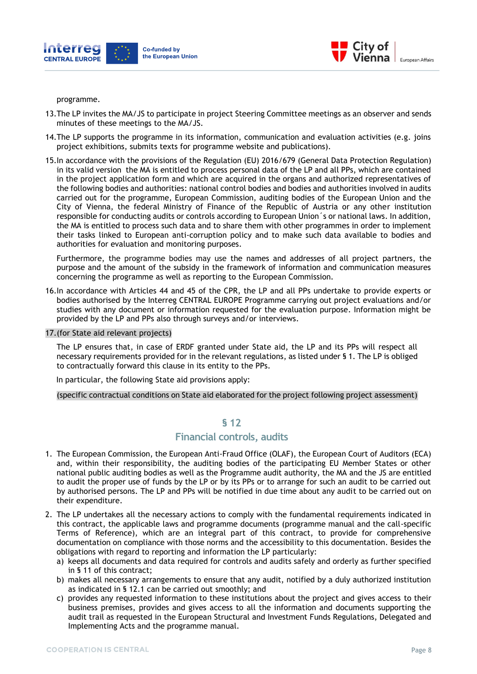



programme.

- 13.The LP invites the MA/JS to participate in project Steering Committee meetings as an observer and sends minutes of these meetings to the MA/JS.
- 14.The LP supports the programme in its information, communication and evaluation activities (e.g. joins project exhibitions, submits texts for programme website and publications).
- 15.In accordance with the provisions of the Regulation (EU) 2016/679 (General Data Protection Regulation) in its valid version the MA is entitled to process personal data of the LP and all PPs, which are contained in the project application form and which are acquired in the organs and authorized representatives of the following bodies and authorities: national control bodies and bodies and authorities involved in audits carried out for the programme, European Commission, auditing bodies of the European Union and the City of Vienna, the federal Ministry of Finance of the Republic of Austria or any other institution responsible for conducting audits or controls according to European Union´s or national laws. In addition, the MA is entitled to process such data and to share them with other programmes in order to implement their tasks linked to European anti-corruption policy and to make such data available to bodies and authorities for evaluation and monitoring purposes.

Furthermore, the programme bodies may use the names and addresses of all project partners, the purpose and the amount of the subsidy in the framework of information and communication measures concerning the programme as well as reporting to the European Commission.

- 16.In accordance with Articles 44 and 45 of the CPR, the LP and all PPs undertake to provide experts or bodies authorised by the Interreg CENTRAL EUROPE Programme carrying out project evaluations and/or studies with any document or information requested for the evaluation purpose. Information might be provided by the LP and PPs also through surveys and/or interviews.
- 17.(for State aid relevant projects)

The LP ensures that, in case of ERDF granted under State aid, the LP and its PPs will respect all necessary requirements provided for in the relevant regulations, as listed under § 1. The LP is obliged to contractually forward this clause in its entity to the PPs.

In particular, the following State aid provisions apply:

(specific contractual conditions on State aid elaborated for the project following project assessment)

#### **§ 12**

#### **Financial controls, audits**

- 1. The European Commission, the European Anti-Fraud Office (OLAF), the European Court of Auditors (ECA) and, within their responsibility, the auditing bodies of the participating EU Member States or other national public auditing bodies as well as the Programme audit authority, the MA and the JS are entitled to audit the proper use of funds by the LP or by its PPs or to arrange for such an audit to be carried out by authorised persons. The LP and PPs will be notified in due time about any audit to be carried out on their expenditure.
- 2. The LP undertakes all the necessary actions to comply with the fundamental requirements indicated in this contract, the applicable laws and programme documents (programme manual and the call-specific Terms of Reference), which are an integral part of this contract, to provide for comprehensive documentation on compliance with those norms and the accessibility to this documentation. Besides the obligations with regard to reporting and information the LP particularly:
	- a) keeps all documents and data required for controls and audits safely and orderly as further specified in § 11 of this contract;
	- b) makes all necessary arrangements to ensure that any audit, notified by a duly authorized institution as indicated in § 12.1 can be carried out smoothly; and
	- c) provides any requested information to these institutions about the project and gives access to their business premises, provides and gives access to all the information and documents supporting the audit trail as requested in the European Structural and Investment Funds Regulations, Delegated and Implementing Acts and the programme manual.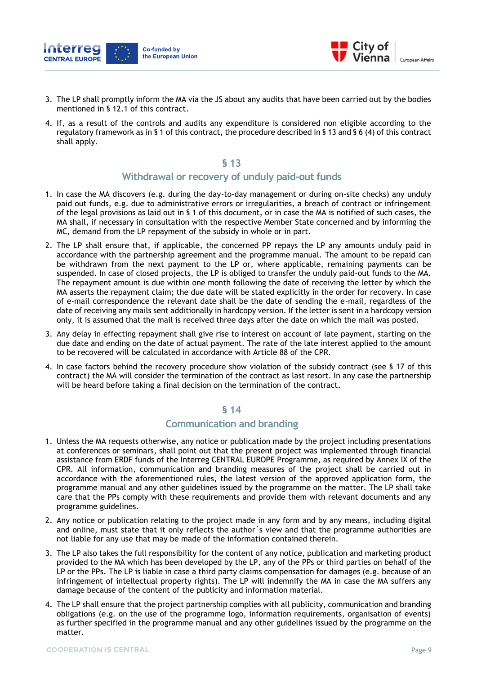



- 3. The LP shall promptly inform the MA via the JS about any audits that have been carried out by the bodies mentioned in § 12.1 of this contract.
- 4. If, as a result of the controls and audits any expenditure is considered non eligible according to the regulatory framework as in § 1 of this contract, the procedure described in § 13 and § 6 (4) of this contract shall apply.

#### **Withdrawal or recovery of unduly paid-out funds**

- 1. In case the MA discovers (e.g. during the day-to-day management or during on-site checks) any unduly paid out funds, e.g. due to administrative errors or irregularities, a breach of contract or infringement of the legal provisions as laid out in § 1 of this document, or in case the MA is notified of such cases, the MA shall, if necessary in consultation with the respective Member State concerned and by informing the MC, demand from the LP repayment of the subsidy in whole or in part.
- 2. The LP shall ensure that, if applicable, the concerned PP repays the LP any amounts unduly paid in accordance with the partnership agreement and the programme manual. The amount to be repaid can be withdrawn from the next payment to the LP or, where applicable, remaining payments can be suspended. In case of closed projects, the LP is obliged to transfer the unduly paid-out funds to the MA. The repayment amount is due within one month following the date of receiving the letter by which the MA asserts the repayment claim; the due date will be stated explicitly in the order for recovery. In case of e-mail correspondence the relevant date shall be the date of sending the e-mail, regardless of the date of receiving any mails sent additionally in hardcopy version. If the letter is sent in a hardcopy version only, it is assumed that the mail is received three days after the date on which the mail was posted.
- 3. Any delay in effecting repayment shall give rise to interest on account of late payment, starting on the due date and ending on the date of actual payment. The rate of the late interest applied to the amount to be recovered will be calculated in accordance with Article 88 of the CPR.
- 4. In case factors behind the recovery procedure show violation of the subsidy contract (see § 17 of this contract) the MA will consider the termination of the contract as last resort. In any case the partnership will be heard before taking a final decision on the termination of the contract.

#### **§ 14**

#### **Communication and branding**

- 1. Unless the MA requests otherwise, any notice or publication made by the project including presentations at conferences or seminars, shall point out that the present project was implemented through financial assistance from ERDF funds of the Interreg CENTRAL EUROPE Programme, as required by Annex IX of the CPR. All information, communication and branding measures of the project shall be carried out in accordance with the aforementioned rules, the latest version of the approved application form, the programme manual and any other guidelines issued by the programme on the matter. The LP shall take care that the PPs comply with these requirements and provide them with relevant documents and any programme guidelines.
- 2. Any notice or publication relating to the project made in any form and by any means, including digital and online, must state that it only reflects the author´s view and that the programme authorities are not liable for any use that may be made of the information contained therein.
- 3. The LP also takes the full responsibility for the content of any notice, publication and marketing product provided to the MA which has been developed by the LP, any of the PPs or third parties on behalf of the LP or the PPs. The LP is liable in case a third party claims compensation for damages (e.g. because of an infringement of intellectual property rights). The LP will indemnify the MA in case the MA suffers any damage because of the content of the publicity and information material.
- 4. The LP shall ensure that the project partnership complies with all publicity, communication and branding obligations (e.g. on the use of the programme logo, information requirements, organisation of events) as further specified in the programme manual and any other guidelines issued by the programme on the matter.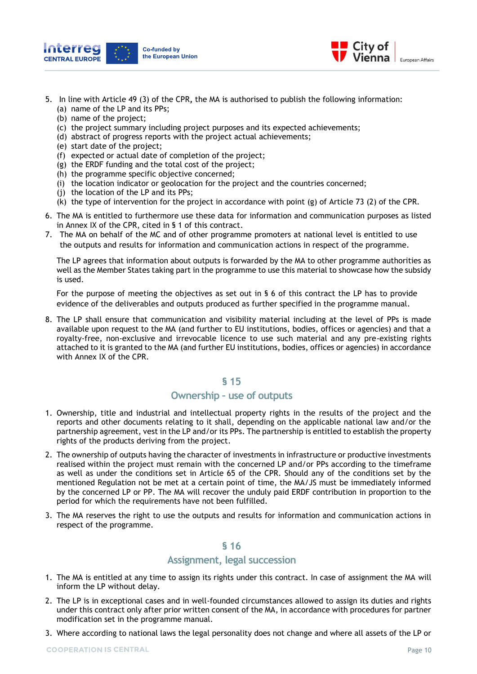



- 5. In line with Article 49 (3) of the CPR**,** the MA is authorised to publish the following information: (a) name of the LP and its PPs;
	- (b) name of the project;
	- (c) the project summary including project purposes and its expected achievements;
	- (d) abstract of progress reports with the project actual achievements;
	- (e) start date of the project;
	- (f) expected or actual date of completion of the project;
	- (g) the ERDF funding and the total cost of the project;
	- (h) the programme specific objective concerned;
	- (i) the location indicator or geolocation for the project and the countries concerned;
	- (j) the location of the LP and its PPs;
	- (k) the type of intervention for the project in accordance with point (g) of Article 73 (2) of the CPR.
- 6. The MA is entitled to furthermore use these data for information and communication purposes as listed in Annex IX of the CPR, cited in § 1 of this contract.
- 7. The MA on behalf of the MC and of other programme promoters at national level is entitled to use the outputs and results for information and communication actions in respect of the programme.

The LP agrees that information about outputs is forwarded by the MA to other programme authorities as well as the Member States taking part in the programme to use this material to showcase how the subsidy is used.

For the purpose of meeting the objectives as set out in § 6 of this contract the LP has to provide evidence of the deliverables and outputs produced as further specified in the programme manual.

8. The LP shall ensure that communication and visibility material including at the level of PPs is made available upon request to the MA (and further to EU institutions, bodies, offices or agencies) and that a royalty-free, non-exclusive and irrevocable licence to use such material and any pre-existing rights attached to it is granted to the MA (and further EU institutions, bodies, offices or agencies) in accordance with Annex IX of the CPR.

#### **§ 15**

## **Ownership – use of outputs**

- 1. Ownership, title and industrial and intellectual property rights in the results of the project and the reports and other documents relating to it shall, depending on the applicable national law and/or the partnership agreement, vest in the LP and/or its PPs. The partnership is entitled to establish the property rights of the products deriving from the project.
- 2. The ownership of outputs having the character of investments in infrastructure or productive investments realised within the project must remain with the concerned LP and/or PPs according to the timeframe as well as under the conditions set in Article 65 of the CPR. Should any of the conditions set by the mentioned Regulation not be met at a certain point of time, the MA/JS must be immediately informed by the concerned LP or PP. The MA will recover the unduly paid ERDF contribution in proportion to the period for which the requirements have not been fulfilled.
- 3. The MA reserves the right to use the outputs and results for information and communication actions in respect of the programme.

#### **§ 16**

#### **Assignment, legal succession**

- 1. The MA is entitled at any time to assign its rights under this contract. In case of assignment the MA will inform the LP without delay.
- 2. The LP is in exceptional cases and in well-founded circumstances allowed to assign its duties and rights under this contract only after prior written consent of the MA, in accordance with procedures for partner modification set in the programme manual.
- 3. Where according to national laws the legal personality does not change and where all assets of the LP or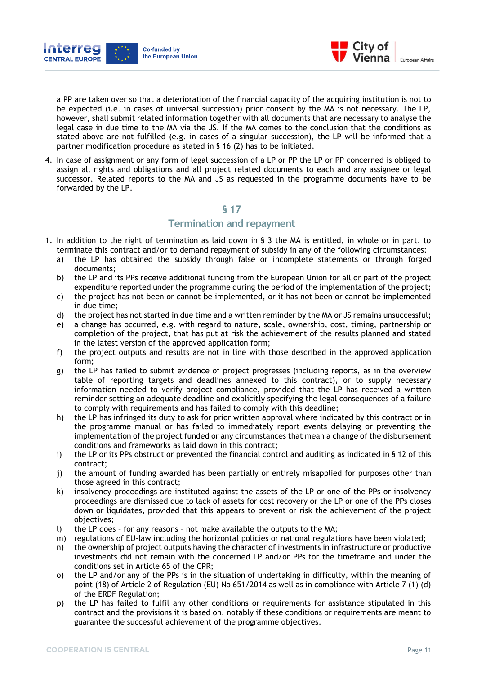



a PP are taken over so that a deterioration of the financial capacity of the acquiring institution is not to be expected (i.e. in cases of universal succession) prior consent by the MA is not necessary. The LP, however, shall submit related information together with all documents that are necessary to analyse the legal case in due time to the MA via the JS. If the MA comes to the conclusion that the conditions as stated above are not fulfilled (e.g. in cases of a singular succession), the LP will be informed that a partner modification procedure as stated in § 16 (2) has to be initiated.

4. In case of assignment or any form of legal succession of a LP or PP the LP or PP concerned is obliged to assign all rights and obligations and all project related documents to each and any assignee or legal successor. Related reports to the MA and JS as requested in the programme documents have to be forwarded by the LP.

#### **§ 17**

#### **Termination and repayment**

- 1. In addition to the right of termination as laid down in § 3 the MA is entitled, in whole or in part, to terminate this contract and/or to demand repayment of subsidy in any of the following circumstances:
	- a) the LP has obtained the subsidy through false or incomplete statements or through forged documents;
	- b) the LP and its PPs receive additional funding from the European Union for all or part of the project expenditure reported under the programme during the period of the implementation of the project;
	- c) the project has not been or cannot be implemented, or it has not been or cannot be implemented in due time;
	- d) the project has not started in due time and a written reminder by the MA or JS remains unsuccessful;
	- e) a change has occurred, e.g. with regard to nature, scale, ownership, cost, timing, partnership or completion of the project, that has put at risk the achievement of the results planned and stated in the latest version of the approved application form;
	- f) the project outputs and results are not in line with those described in the approved application form;
	- g) the LP has failed to submit evidence of project progresses (including reports, as in the overview table of reporting targets and deadlines annexed to this contract), or to supply necessary information needed to verify project compliance, provided that the LP has received a written reminder setting an adequate deadline and explicitly specifying the legal consequences of a failure to comply with requirements and has failed to comply with this deadline;
	- h) the LP has infringed its duty to ask for prior written approval where indicated by this contract or in the programme manual or has failed to immediately report events delaying or preventing the implementation of the project funded or any circumstances that mean a change of the disbursement conditions and frameworks as laid down in this contract;
	- i) the LP or its PPs obstruct or prevented the financial control and auditing as indicated in § 12 of this contract;
	- j) the amount of funding awarded has been partially or entirely misapplied for purposes other than those agreed in this contract;
	- k) insolvency proceedings are instituted against the assets of the LP or one of the PPs or insolvency proceedings are dismissed due to lack of assets for cost recovery or the LP or one of the PPs closes down or liquidates, provided that this appears to prevent or risk the achievement of the project objectives;
	- l) the LP does for any reasons not make available the outputs to the MA;
	- m) regulations of EU-law including the horizontal policies or national regulations have been violated;
	- n) the ownership of project outputs having the character of investments in infrastructure or productive investments did not remain with the concerned LP and/or PPs for the timeframe and under the conditions set in Article 65 of the CPR;
	- o) the LP and/or any of the PPs is in the situation of undertaking in difficulty, within the meaning of point (18) of Article 2 of Regulation (EU) No 651/2014 as well as in compliance with Article 7 (1) (d) of the ERDF Regulation;
	- p) the LP has failed to fulfil any other conditions or requirements for assistance stipulated in this contract and the provisions it is based on, notably if these conditions or requirements are meant to guarantee the successful achievement of the programme objectives.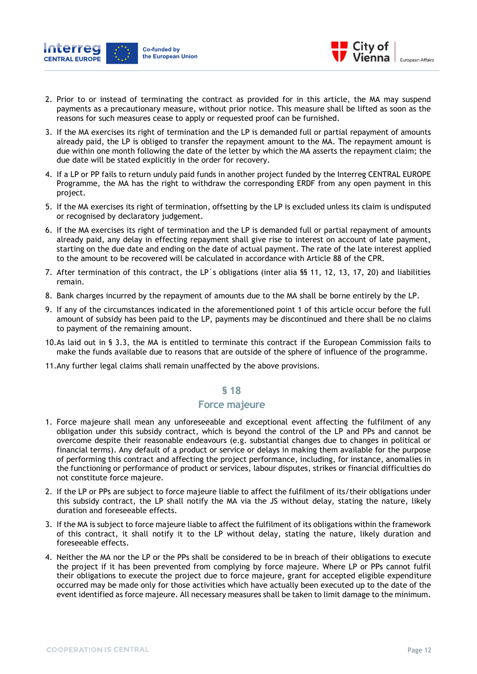



- 2. Prior to or instead of terminating the contract as provided for in this article, the MA may suspend payments as a precautionary measure, without prior notice. This measure shall be lifted as soon as the reasons for such measures cease to apply or requested proof can be furnished.
- 3. If the MA exercises its right of termination and the LP is demanded full or partial repayment of amounts already paid, the LP is obliged to transfer the repayment amount to the MA. The repayment amount is due within one month following the date of the letter by which the MA asserts the repayment claim; the due date will be stated explicitly in the order for recovery.
- 4. If a LP or PP fails to return unduly paid funds in another project funded by the Interreg CENTRAL EUROPE Programme, the MA has the right to withdraw the corresponding ERDF from any open payment in this project.
- 5. If the MA exercises its right of termination, offsetting by the LP is excluded unless its claim is undisputed or recognised by declaratory judgement.
- 6. If the MA exercises its right of termination and the LP is demanded full or partial repayment of amounts already paid, any delay in effecting repayment shall give rise to interest on account of late payment, starting on the due date and ending on the date of actual payment. The rate of the late interest applied to the amount to be recovered will be calculated in accordance with Article 88 of the CPR.
- 7. After termination of this contract, the LP´s obligations (inter alia §§ 11, 12, 13, 17, 20) and liabilities remain.
- 8. Bank charges incurred by the repayment of amounts due to the MA shall be borne entirely by the LP.
- 9. If any of the circumstances indicated in the aforementioned point 1 of this article occur before the full amount of subsidy has been paid to the LP, payments may be discontinued and there shall be no claims to payment of the remaining amount.
- 10.As laid out in § 3.3, the MA is entitled to terminate this contract if the European Commission fails to make the funds available due to reasons that are outside of the sphere of influence of the programme.
- 11.Any further legal claims shall remain unaffected by the above provisions.

# **Force majeure**

- 1. Force majeure shall mean any unforeseeable and exceptional event affecting the fulfilment of any obligation under this subsidy contract, which is beyond the control of the LP and PPs and cannot be overcome despite their reasonable endeavours (e.g. substantial changes due to changes in political or financial terms). Any default of a product or service or delays in making them available for the purpose of performing this contract and affecting the project performance, including, for instance, anomalies in the functioning or performance of product or services, labour disputes, strikes or financial difficulties do not constitute force majeure.
- 2. If the LP or PPs are subject to force majeure liable to affect the fulfilment of its/their obligations under this subsidy contract, the LP shall notify the MA via the JS without delay, stating the nature, likely duration and foreseeable effects.
- 3. If the MA is subject to force majeure liable to affect the fulfilment of its obligations within the framework of this contract, it shall notify it to the LP without delay, stating the nature, likely duration and foreseeable effects.
- 4. Neither the MA nor the LP or the PPs shall be considered to be in breach of their obligations to execute the project if it has been prevented from complying by force majeure. Where LP or PPs cannot fulfil their obligations to execute the project due to force majeure, grant for accepted eligible expenditure occurred may be made only for those activities which have actually been executed up to the date of the event identified as force majeure. All necessary measures shall be taken to limit damage to the minimum.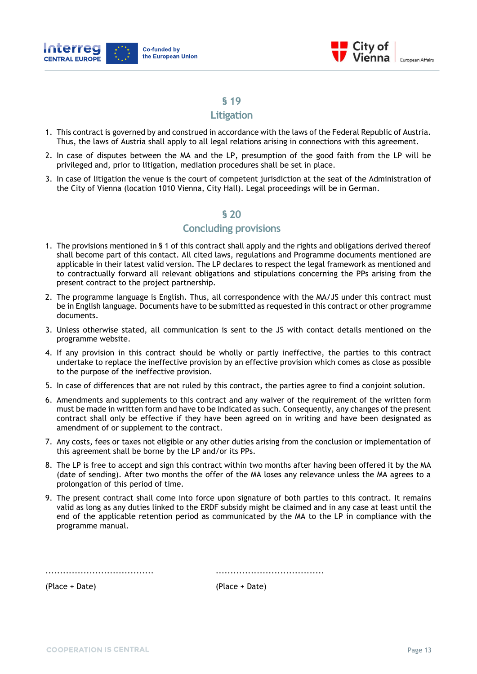



#### **Litigation**

- 1. This contract is governed by and construed in accordance with the laws of the Federal Republic of Austria. Thus, the laws of Austria shall apply to all legal relations arising in connections with this agreement.
- 2. In case of disputes between the MA and the LP, presumption of the good faith from the LP will be privileged and, prior to litigation, mediation procedures shall be set in place.
- 3. In case of litigation the venue is the court of competent jurisdiction at the seat of the Administration of the City of Vienna (location 1010 Vienna, City Hall). Legal proceedings will be in German.

# **§ 20**

# **Concluding provisions**

- 1. The provisions mentioned in § 1 of this contract shall apply and the rights and obligations derived thereof shall become part of this contact. All cited laws, regulations and Programme documents mentioned are applicable in their latest valid version. The LP declares to respect the legal framework as mentioned and to contractually forward all relevant obligations and stipulations concerning the PPs arising from the present contract to the project partnership.
- 2. The programme language is English. Thus, all correspondence with the MA/JS under this contract must be in English language. Documents have to be submitted as requested in this contract or other programme documents.
- 3. Unless otherwise stated, all communication is sent to the JS with contact details mentioned on the programme website.
- 4. If any provision in this contract should be wholly or partly ineffective, the parties to this contract undertake to replace the ineffective provision by an effective provision which comes as close as possible to the purpose of the ineffective provision.
- 5. In case of differences that are not ruled by this contract, the parties agree to find a conjoint solution.
- 6. Amendments and supplements to this contract and any waiver of the requirement of the written form must be made in written form and have to be indicated as such. Consequently, any changes of the present contract shall only be effective if they have been agreed on in writing and have been designated as amendment of or supplement to the contract.
- 7. Any costs, fees or taxes not eligible or any other duties arising from the conclusion or implementation of this agreement shall be borne by the LP and/or its PPs.
- 8. The LP is free to accept and sign this contract within two months after having been offered it by the MA (date of sending). After two months the offer of the MA loses any relevance unless the MA agrees to a prolongation of this period of time.
- 9. The present contract shall come into force upon signature of both parties to this contract. It remains valid as long as any duties linked to the ERDF subsidy might be claimed and in any case at least until the end of the applicable retention period as communicated by the MA to the LP in compliance with the programme manual.

..................................... .....................................

(Place + Date) (Place + Date)